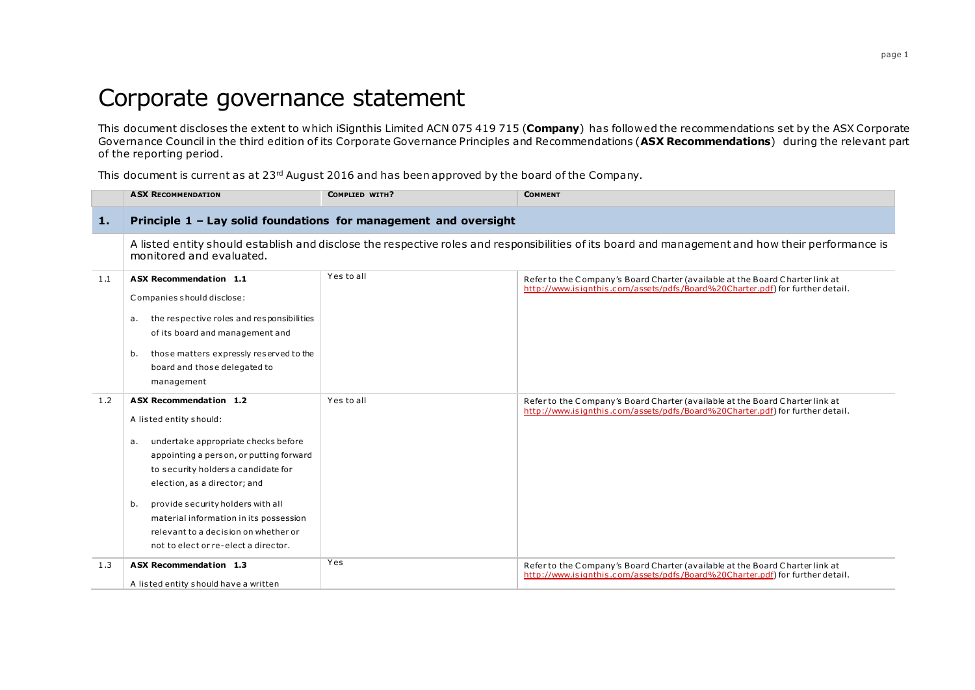## Corporate governance statement

This document discloses the extent to which iSignthis Limited ACN 075 419 715 (**Company**) has followed the recommendations set by the ASX Corporate Governance Council in the third edition of its Corporate Governance Principles and Recommendations (**ASX Recommendations**) during the relevant part of the reporting period.

This document is current as at 23rd August 2016 and has been approved by the board of the Company.

|     | <b>ASX RECOMMENDATION</b>                                                                                                                                                                                                                                                                                                                                                             | COMPLIED WITH? | <b>COMMENT</b>                                                                                                                                                |  |  |
|-----|---------------------------------------------------------------------------------------------------------------------------------------------------------------------------------------------------------------------------------------------------------------------------------------------------------------------------------------------------------------------------------------|----------------|---------------------------------------------------------------------------------------------------------------------------------------------------------------|--|--|
| 1.  | Principle 1 - Lay solid foundations for management and oversight                                                                                                                                                                                                                                                                                                                      |                |                                                                                                                                                               |  |  |
|     | monitored and evaluated.                                                                                                                                                                                                                                                                                                                                                              |                | A listed entity should establish and disclose the respective roles and responsibilities of its board and management and how their performance is              |  |  |
| 1.1 | <b>ASX Recommendation 1.1</b><br>Companies should disclose:<br>the respective roles and responsibilities<br>а.<br>of its board and management and<br>those matters expressly reserved to the<br>b.<br>board and those delegated to<br>management                                                                                                                                      | Yes to all     | Refer to the Company's Board Charter (available at the Board Charter link at<br>http://www.isignthis.com/assets/pdfs/Board%20Charter.pdf) for further detail. |  |  |
| 1.2 | ASX Recommendation 1.2<br>A listed entity should:<br>undertake appropriate checks before<br>а.<br>appointing a person, or putting forward<br>to security holders a candidate for<br>election, as a director; and<br>provide security holders with all<br>b.<br>material information in its possession<br>relevant to a decision on whether or<br>not to elect or re-elect a director. | Yes to all     | Refer to the Company's Board Charter (available at the Board Charter link at<br>http://www.isignthis.com/assets/pdfs/Board%20Charter.pdf) for further detail. |  |  |
| 1.3 | ASX Recommendation 1.3<br>A listed entity should have a written                                                                                                                                                                                                                                                                                                                       | Yes            | Refer to the Company's Board Charter (available at the Board Charter link at<br>http://www.isignthis.com/assets/pdfs/Board%20Charter.pdf) for further detail. |  |  |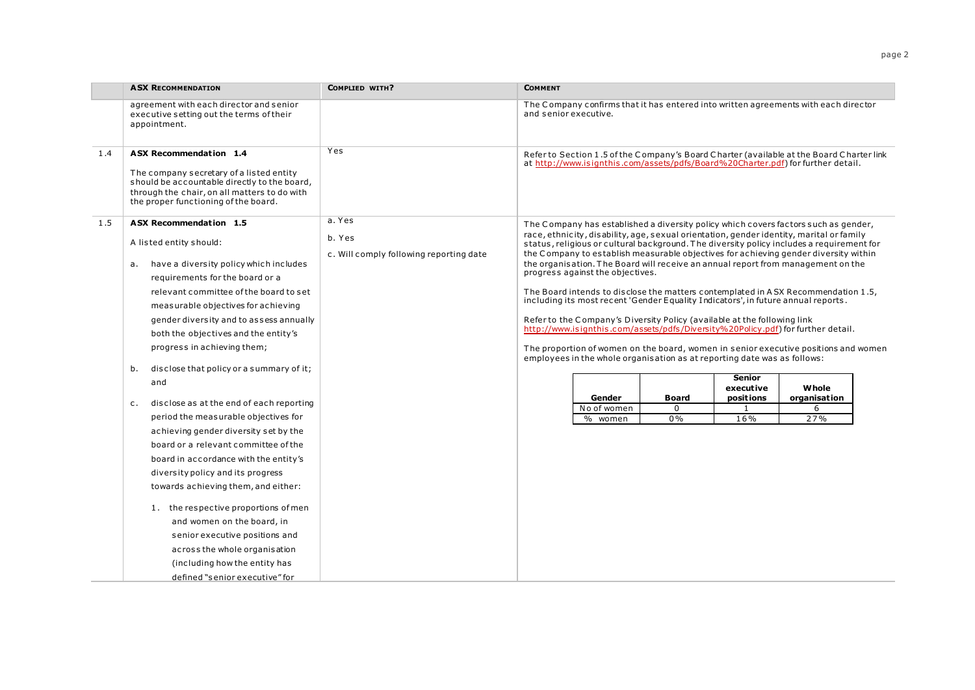| agreement with each director and senior<br>The Company confirms that it has entered into written agreements with each director<br>and senior executive.<br>executive setting out the terms of their<br>appointment.<br>Yes<br><b>ASX Recommendation 1.4</b><br>1.4<br>Refer to Section 1.5 of the Company's Board Charter (available at the Board Charter link<br>at http://www.isignthis.com/assets/pdfs/Board%20Charter.pdf) for further detail.<br>The company secretary of a listed entity<br>should be accountable directly to the board,<br>through the chair, on all matters to do with<br>the proper functioning of the board.<br>a. Yes<br><b>ASX Recommendation 1.5</b><br>1.5<br>The Company has established a diversity policy which covers factors such as gender,<br>race, ethnicity, disability, age, sexual orientation, gender identity, marital or family<br>b. Yes<br>A listed entity should:<br>status, religious or cultural background. The diversity policy includes a requirement for<br>the Company to establish measurable objectives for achieving gender diversity within<br>c. Will comply following reporting date<br>the organisation. The Board will receive an annual report from management on the<br>have a diversity policy which includes<br>а.<br>progress against the objectives.<br>requirements for the board or a<br>The Board intends to disclose the matters contemplated in ASX Recommendation 1.5,<br>relevant committee of the board to set<br>including its most recent 'Gender Equality Indicators', in future annual reports.<br>measurable objectives for achieving<br>Refer to the Company's Diversity Policy (available at the following link<br>gender diversity and to assess annually<br>http://www.isignthis.com/assets/pdfs/Diversity%20Policy.pdf) for further detail.<br>both the objectives and the entity's<br>progress in achieving them;<br>The proportion of women on the board, women in senior executive positions and women<br>employees in the whole organisation as at reporting date was as follows:<br>disclose that policy or a summary of it;<br>b.<br><b>Senior</b><br>and<br>Whole<br>executive<br>Gender<br><b>Board</b><br>positions<br>organisation<br>disclose as at the end of each reporting<br>$c_{\rm}$ .<br>No of women<br>$\mathbf{1}$<br>$\Omega$<br>6<br>period the measurable objectives for<br>0%<br>16%<br>27%<br>% women<br>achieving gender diversity set by the<br>board or a relevant committee of the<br>board in accordance with the entity's<br>diversity policy and its progress<br>towards achieving them, and either:<br>1. the respective proportions of men<br>and women on the board, in<br>senior executive positions and<br>across the whole organisation | <b>ASX RECOMMENDATION</b> | <b>COMPLIED WITH?</b> | <b>COMMENT</b> |  |  |  |
|---------------------------------------------------------------------------------------------------------------------------------------------------------------------------------------------------------------------------------------------------------------------------------------------------------------------------------------------------------------------------------------------------------------------------------------------------------------------------------------------------------------------------------------------------------------------------------------------------------------------------------------------------------------------------------------------------------------------------------------------------------------------------------------------------------------------------------------------------------------------------------------------------------------------------------------------------------------------------------------------------------------------------------------------------------------------------------------------------------------------------------------------------------------------------------------------------------------------------------------------------------------------------------------------------------------------------------------------------------------------------------------------------------------------------------------------------------------------------------------------------------------------------------------------------------------------------------------------------------------------------------------------------------------------------------------------------------------------------------------------------------------------------------------------------------------------------------------------------------------------------------------------------------------------------------------------------------------------------------------------------------------------------------------------------------------------------------------------------------------------------------------------------------------------------------------------------------------------------------------------------------------------------------------------------------------------------------------------------------------------------------------------------------------------------------------------------------------------------------------------------------------------------------------------------------------------------------------------------------------------------------------------------------------------------------------------------------------------------------------------------------------------|---------------------------|-----------------------|----------------|--|--|--|
|                                                                                                                                                                                                                                                                                                                                                                                                                                                                                                                                                                                                                                                                                                                                                                                                                                                                                                                                                                                                                                                                                                                                                                                                                                                                                                                                                                                                                                                                                                                                                                                                                                                                                                                                                                                                                                                                                                                                                                                                                                                                                                                                                                                                                                                                                                                                                                                                                                                                                                                                                                                                                                                                                                                                                                     |                           |                       |                |  |  |  |
|                                                                                                                                                                                                                                                                                                                                                                                                                                                                                                                                                                                                                                                                                                                                                                                                                                                                                                                                                                                                                                                                                                                                                                                                                                                                                                                                                                                                                                                                                                                                                                                                                                                                                                                                                                                                                                                                                                                                                                                                                                                                                                                                                                                                                                                                                                                                                                                                                                                                                                                                                                                                                                                                                                                                                                     |                           |                       |                |  |  |  |
| (including how the entity has                                                                                                                                                                                                                                                                                                                                                                                                                                                                                                                                                                                                                                                                                                                                                                                                                                                                                                                                                                                                                                                                                                                                                                                                                                                                                                                                                                                                                                                                                                                                                                                                                                                                                                                                                                                                                                                                                                                                                                                                                                                                                                                                                                                                                                                                                                                                                                                                                                                                                                                                                                                                                                                                                                                                       |                           |                       |                |  |  |  |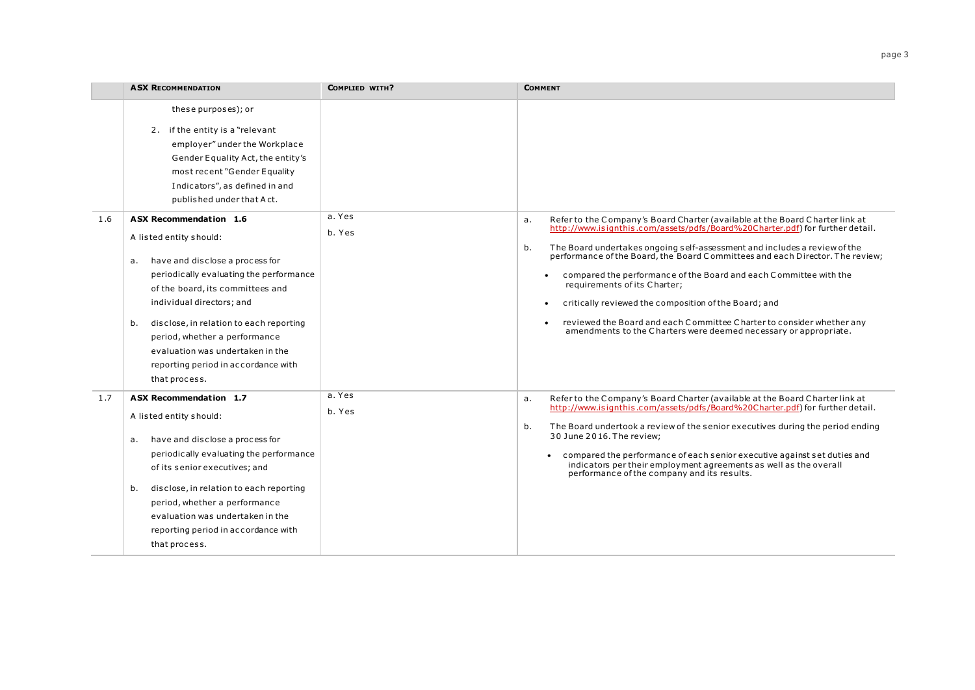|     | <b>ASX RECOMMENDATION</b>                                                                                                                                                                                                                                                                                                                                                                   | COMPLIED WITH?   | <b>COMMENT</b>                                                                                                                                                                                                                                                                                                                                                                                                                                                                                                                                                                                                                                                               |
|-----|---------------------------------------------------------------------------------------------------------------------------------------------------------------------------------------------------------------------------------------------------------------------------------------------------------------------------------------------------------------------------------------------|------------------|------------------------------------------------------------------------------------------------------------------------------------------------------------------------------------------------------------------------------------------------------------------------------------------------------------------------------------------------------------------------------------------------------------------------------------------------------------------------------------------------------------------------------------------------------------------------------------------------------------------------------------------------------------------------------|
|     | these purposes); or<br>2. if the entity is a "relevant<br>employer" under the Workplace<br>Gender Equality Act, the entity's<br>most recent "Gender Equality<br>Indicators", as defined in and<br>published under that Act.                                                                                                                                                                 |                  |                                                                                                                                                                                                                                                                                                                                                                                                                                                                                                                                                                                                                                                                              |
| 1.6 | <b>ASX Recommendation 1.6</b><br>A listed entity should:<br>have and disclose a process for<br>a.<br>periodically evaluating the performance<br>of the board, its committees and<br>individual directors; and<br>disclose, in relation to each reporting<br>b.<br>period, whether a performance<br>evaluation was undertaken in the<br>reporting period in accordance with<br>that process. | a. Yes<br>b. Yes | Refer to the Company's Board Charter (available at the Board Charter link at<br>a.<br>http://www.isignthis.com/assets/pdfs/Board%20Charter.pdf) for further detail.<br>The Board undertakes ongoing self-assessment and includes a review of the<br>b.<br>performance of the Board, the Board Committees and each Director. The review;<br>compared the performance of the Board and each Committee with the<br>requirements of its Charter;<br>critically reviewed the composition of the Board; and<br>$\bullet$<br>reviewed the Board and each Committee Charter to consider whether any<br>$\bullet$<br>amendments to the Charters were deemed necessary or appropriate. |
| 1.7 | ASX Recommendation 1.7<br>A listed entity should:<br>have and disclose a process for<br>а.<br>periodically evaluating the performance<br>of its senior executives; and<br>disclose, in relation to each reporting<br>b.<br>period, whether a performance<br>evaluation was undertaken in the<br>reporting period in accordance with<br>that process.                                        | a. Yes<br>b. Yes | Refer to the Company's Board Charter (available at the Board Charter link at<br>a.<br>http://www.isignthis.com/assets/pdfs/Board%20Charter.pdf) for further detail.<br>The Board undertook a review of the senior executives during the period ending<br>b.<br>30 June 2016. The review;<br>• compared the performance of each senior executive against set duties and<br>indicators per their employment agreements as well as the overall<br>performance of the company and its results.                                                                                                                                                                                   |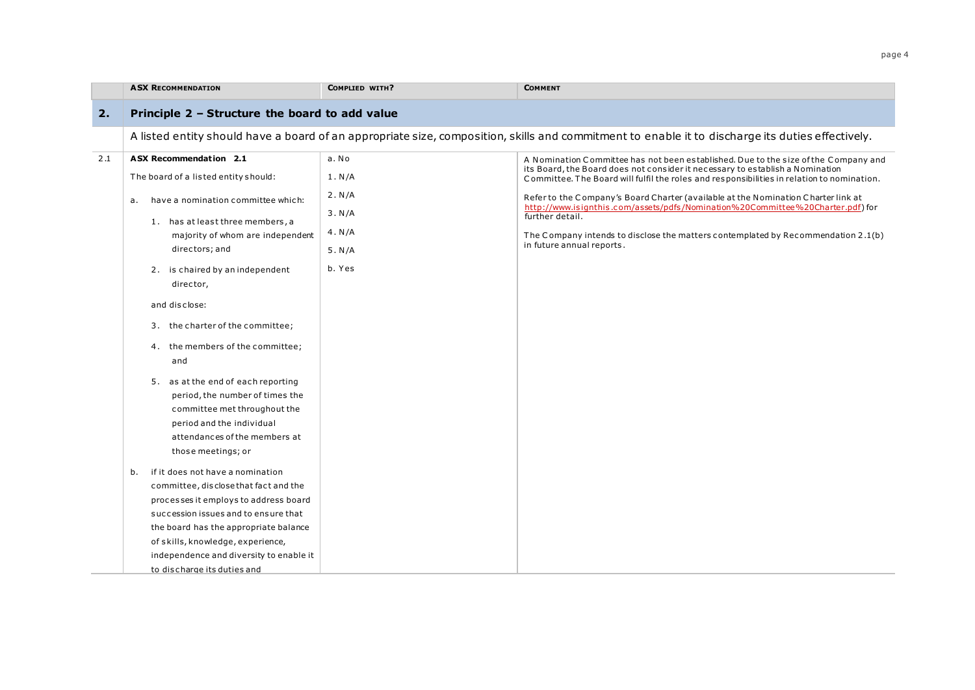|     | <b>ASX RECOMMENDATION</b>                                                                                                                                                                 | COMPLIED WITH? | <b>COMMENT</b>                                                                                                                                                       |
|-----|-------------------------------------------------------------------------------------------------------------------------------------------------------------------------------------------|----------------|----------------------------------------------------------------------------------------------------------------------------------------------------------------------|
| 2.  | Principle 2 - Structure the board to add value                                                                                                                                            |                |                                                                                                                                                                      |
|     |                                                                                                                                                                                           |                | A listed entity should have a board of an appropriate size, composition, skills and commitment to enable it to discharge its duties effectively.                     |
| 2.1 | <b>ASX Recommendation 2.1</b>                                                                                                                                                             | a. No          | A Nomination Committee has not been established. Due to the size of the Company and<br>its Board, the Board does not consider it necessary to establish a Nomination |
|     | The board of a listed entity should:                                                                                                                                                      | 1. N/A         | Committee. The Board will fulfil the roles and responsibilities in relation to nomination.                                                                           |
|     | have a nomination committee which:<br>а.                                                                                                                                                  | 2. N/A         | Refer to the Company's Board Charter (available at the Nomination Charter link at                                                                                    |
|     | 1. has at least three members, a                                                                                                                                                          | 3. N/A         | http://www.isignthis.com/assets/pdfs/Nomination%20Committee%20Charter.pdf) for<br>further detail.                                                                    |
|     | majority of whom are independent                                                                                                                                                          | 4. N/A         | The Company intends to disclose the matters contemplated by Recommendation 2.1(b)                                                                                    |
|     | directors; and                                                                                                                                                                            | 5. N/A         | in future annual reports.                                                                                                                                            |
|     | 2. is chaired by an independent<br>director,                                                                                                                                              | b. Yes         |                                                                                                                                                                      |
|     | and disclose:                                                                                                                                                                             |                |                                                                                                                                                                      |
|     | 3. the charter of the committee;                                                                                                                                                          |                |                                                                                                                                                                      |
|     | 4. the members of the committee;<br>and                                                                                                                                                   |                |                                                                                                                                                                      |
|     | 5. as at the end of each reporting<br>period, the number of times the<br>committee met throughout the<br>period and the individual<br>attendances of the members at<br>those meetings; or |                |                                                                                                                                                                      |
|     | if it does not have a nomination<br>b.<br>committee, disclose that fact and the                                                                                                           |                |                                                                                                                                                                      |
|     | processes it employs to address board                                                                                                                                                     |                |                                                                                                                                                                      |
|     | succession issues and to ensure that                                                                                                                                                      |                |                                                                                                                                                                      |
|     | the board has the appropriate balance                                                                                                                                                     |                |                                                                                                                                                                      |
|     | of skills, knowledge, experience,                                                                                                                                                         |                |                                                                                                                                                                      |
|     | independence and diversity to enable it                                                                                                                                                   |                |                                                                                                                                                                      |
|     | to discharge its duties and                                                                                                                                                               |                |                                                                                                                                                                      |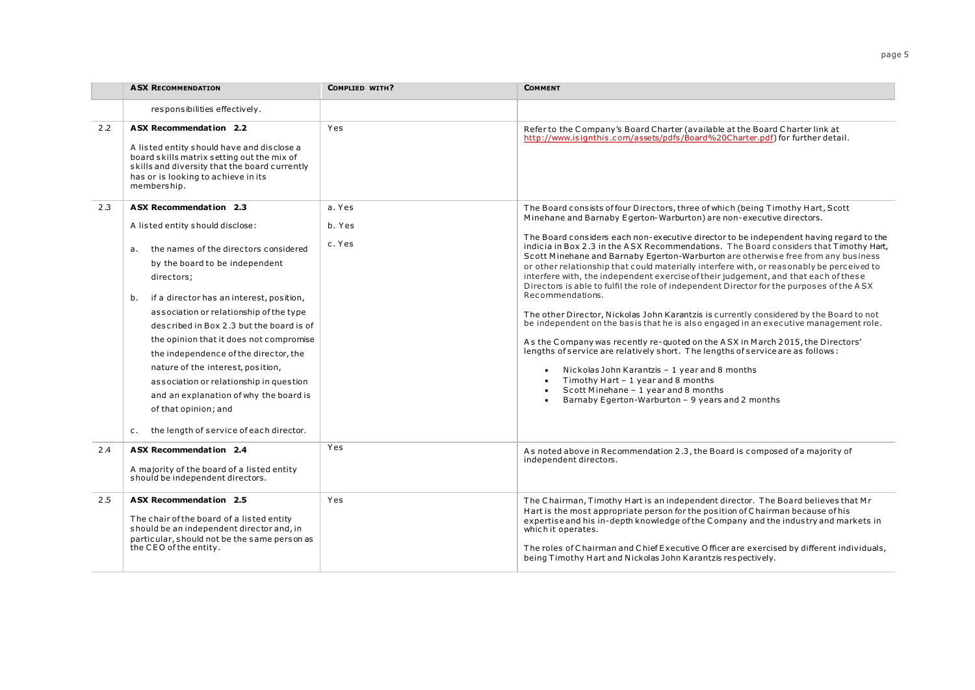|     | <b>ASX RECOMMENDATION</b>                                                                                                                                                                                                                                                                                                                                                                                                                                                                                                                                                                                    | COMPLIED WITH?             | <b>COMMENT</b>                                                                                                                                                                                                                                                                                                                                                                                                                                                                                                                                                                                                                                                                                                                                                                                                                                                                                                                                                                                                                                                                                                                                                                                                                                                                                                                     |
|-----|--------------------------------------------------------------------------------------------------------------------------------------------------------------------------------------------------------------------------------------------------------------------------------------------------------------------------------------------------------------------------------------------------------------------------------------------------------------------------------------------------------------------------------------------------------------------------------------------------------------|----------------------------|------------------------------------------------------------------------------------------------------------------------------------------------------------------------------------------------------------------------------------------------------------------------------------------------------------------------------------------------------------------------------------------------------------------------------------------------------------------------------------------------------------------------------------------------------------------------------------------------------------------------------------------------------------------------------------------------------------------------------------------------------------------------------------------------------------------------------------------------------------------------------------------------------------------------------------------------------------------------------------------------------------------------------------------------------------------------------------------------------------------------------------------------------------------------------------------------------------------------------------------------------------------------------------------------------------------------------------|
|     | responsibilities effectively.                                                                                                                                                                                                                                                                                                                                                                                                                                                                                                                                                                                |                            |                                                                                                                                                                                                                                                                                                                                                                                                                                                                                                                                                                                                                                                                                                                                                                                                                                                                                                                                                                                                                                                                                                                                                                                                                                                                                                                                    |
| 2.2 | ASX Recommendation 2.2<br>A listed entity should have and disclose a<br>board skills matrix setting out the mix of<br>skills and diversity that the board currently<br>has or is looking to achieve in its<br>membership.                                                                                                                                                                                                                                                                                                                                                                                    | Yes                        | Refer to the Company's Board Charter (available at the Board Charter link at<br>http://www.isignthis.com/assets/pdfs/Board%20Charter.pdf) for further detail.                                                                                                                                                                                                                                                                                                                                                                                                                                                                                                                                                                                                                                                                                                                                                                                                                                                                                                                                                                                                                                                                                                                                                                      |
| 2.3 | <b>ASX Recommendation 2.3</b><br>A listed entity should disclose:<br>the names of the directors considered<br>а.<br>by the board to be independent<br>directors;<br>if a director has an interest, position,<br>b.<br>association or relationship of the type<br>described in Box 2.3 but the board is of<br>the opinion that it does not compromise<br>the independence of the director, the<br>nature of the interest, position,<br>association or relationship in question<br>and an explanation of why the board is<br>of that opinion; and<br>the length of service of each director.<br>C <sub>1</sub> | a. Yes<br>b. Yes<br>c. Yes | The Board consists of four Directors, three of which (being Timothy Hart, Scott<br>Minehane and Barnaby Egerton-Warburton) are non-executive directors.<br>The Board considers each non-executive director to be independent having regard to the<br>indicia in Box 2.3 in the ASX Recommendations. The Board considers that Timothy Hart,<br>Scott Minehane and Barnaby Egerton-Warburton are otherwise free from any business<br>or other relationship that could materially interfere with, or reasonably be perceived to<br>interfere with, the independent exercise of their judgement, and that each of these<br>Directors is able to fulfil the role of independent Director for the purposes of the ASX<br>Recommendations.<br>The other Director, Nickolas John Karantzis is currently considered by the Board to not<br>be independent on the basis that he is also engaged in an executive management role.<br>As the Company was recently re-quoted on the ASX in March 2015, the Directors'<br>lengths of service are relatively short. The lengths of service are as follows:<br>Nickolas John Karantzis - 1 year and 8 months<br>$\bullet$<br>Timothy Hart - 1 year and 8 months<br>$\bullet$<br>Scott Minehane - 1 year and 8 months<br>$\bullet$<br>Barnaby Egerton-Warburton - 9 years and 2 months<br>$\bullet$ |
| 2.4 | <b>ASX Recommendation 2.4</b><br>A majority of the board of a listed entity<br>should be independent directors.                                                                                                                                                                                                                                                                                                                                                                                                                                                                                              | Yes                        | As noted above in Recommendation 2.3, the Board is composed of a majority of<br>independent directors.                                                                                                                                                                                                                                                                                                                                                                                                                                                                                                                                                                                                                                                                                                                                                                                                                                                                                                                                                                                                                                                                                                                                                                                                                             |
| 2.5 | <b>ASX Recommendation 2.5</b><br>The chair of the board of a listed entity<br>should be an independent director and, in<br>particular, should not be the same person as<br>the CEO of the entity.                                                                                                                                                                                                                                                                                                                                                                                                            | Yes                        | The Chairman, Timothy Hart is an independent director. The Board believes that Mr<br>Hart is the most appropriate person for the position of Chairman because of his<br>expertise and his in-depth knowledge of the Company and the industry and markets in<br>which it operates.<br>The roles of Chairman and Chief Executive Officer are exercised by different individuals,<br>being Timothy Hart and Nickolas John Karantzis respectively.                                                                                                                                                                                                                                                                                                                                                                                                                                                                                                                                                                                                                                                                                                                                                                                                                                                                                     |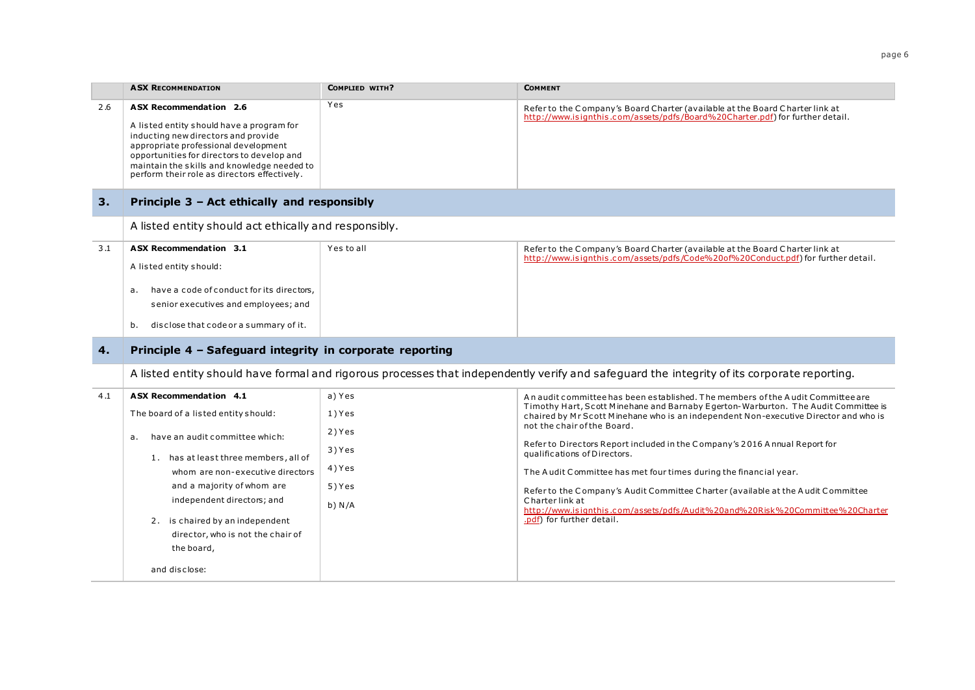|     | <b>ASX RECOMMENDATION</b>                                                                                                                                                                                                                                                                              | COMPLIED WITH? | <b>COMMENT</b>                                                                                                                                                             |
|-----|--------------------------------------------------------------------------------------------------------------------------------------------------------------------------------------------------------------------------------------------------------------------------------------------------------|----------------|----------------------------------------------------------------------------------------------------------------------------------------------------------------------------|
| 2.6 | <b>ASX Recommendation 2.6</b><br>A listed entity should have a program for<br>inducting new directors and provide<br>appropriate professional development<br>opportunities for directors to develop and<br>maintain the skills and knowledge needed to<br>perform their role as directors effectively. | Yes            | Refer to the Company's Board Charter (available at the Board Charter link at<br>http://www.isignthis.com/assets/pdfs/Board%20Charter.pdf) for further detail.              |
| 3.  | Principle 3 - Act ethically and responsibly                                                                                                                                                                                                                                                            |                |                                                                                                                                                                            |
|     | A listed entity should act ethically and responsibly.                                                                                                                                                                                                                                                  |                |                                                                                                                                                                            |
| 3.1 | ASX Recommendation 3.1<br>A listed entity should:<br>have a code of conduct for its directors,<br>а.<br>senior executives and employees; and<br>disclose that code or a summary of it.<br>b.                                                                                                           | Yes to all     | Refer to the Company's Board Charter (available at the Board Charter link at<br>http://www.isignthis.com/assets/pdfs/Code%20of%20Conduct.pdf) for further detail.          |
| 4.  | Principle 4 - Safeguard integrity in corporate reporting                                                                                                                                                                                                                                               |                |                                                                                                                                                                            |
|     |                                                                                                                                                                                                                                                                                                        |                | A listed entity should have formal and rigorous processes that independently verify and safequard the integrity of its corporate reporting.                                |
| 4.1 | ASX Recommendation 4.1                                                                                                                                                                                                                                                                                 | a) Yes         | An audit committee has been established. The members of the Audit Committee are                                                                                            |
|     | The board of a listed entity should:                                                                                                                                                                                                                                                                   | 1) Yes         | Timothy Hart, Scott Minehane and Barnaby Egerton-Warburton. The Audit Committee is<br>chaired by Mr Scott Minehane who is an independent Non-executive Director and who is |
|     | have an audit committee which:<br>а.                                                                                                                                                                                                                                                                   | 2) Yes         | not the chair of the Board.                                                                                                                                                |
|     | 1. has at least three members, all of                                                                                                                                                                                                                                                                  | 3) Yes         | Refer to Directors Report included in the Company's 2016 Annual Report for<br>qualifications of Directors.                                                                 |
|     | whom are non-executive directors                                                                                                                                                                                                                                                                       | 4) Yes         | The Audit Committee has met four times during the financial year.                                                                                                          |

and a majority of whom are independent directors; and 2. is chaired by an independent director, who is not the chair of the board, and disclose: 5 ) Y es b) N /A Refer to the C ompany's Audit Committee C harter (available at the A udit C ommittee C harter link at [http://www.is ignthis .c om/assets/pdfs /Audit%20and%20Risk%20Committee%20Charter](http://www.isignthis.com/assets/pdfs/Audit%20and%20Risk%20Committee%20Charter.pdf) [.pdf\)](http://www.isignthis.com/assets/pdfs/Audit%20and%20Risk%20Committee%20Charter.pdf) for further detail.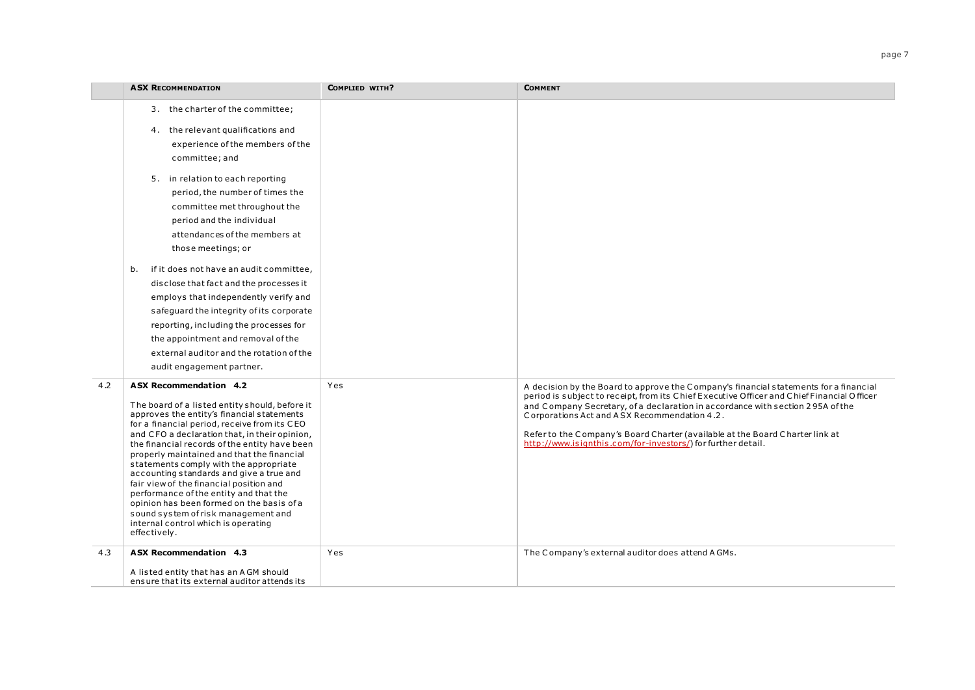|     | <b>ASX RECOMMENDATION</b>                                                                                                                                                                                                                                                                                                                                                                                                                                                                                                                                                                                                                    | <b>COMPLIED WITH?</b> | <b>COMMENT</b>                                                                                                                                                                                                                                                                                                                                                                                                                                                        |
|-----|----------------------------------------------------------------------------------------------------------------------------------------------------------------------------------------------------------------------------------------------------------------------------------------------------------------------------------------------------------------------------------------------------------------------------------------------------------------------------------------------------------------------------------------------------------------------------------------------------------------------------------------------|-----------------------|-----------------------------------------------------------------------------------------------------------------------------------------------------------------------------------------------------------------------------------------------------------------------------------------------------------------------------------------------------------------------------------------------------------------------------------------------------------------------|
|     | 3. the charter of the committee;<br>4. the relevant qualifications and<br>experience of the members of the<br>committee; and<br>5. in relation to each reporting<br>period, the number of times the<br>committee met throughout the<br>period and the individual<br>attendances of the members at<br>those meetings; or                                                                                                                                                                                                                                                                                                                      |                       |                                                                                                                                                                                                                                                                                                                                                                                                                                                                       |
|     | if it does not have an audit committee,<br>b.<br>disclose that fact and the processes it<br>employs that independently verify and<br>safeguard the integrity of its corporate<br>reporting, including the processes for<br>the appointment and removal of the<br>external auditor and the rotation of the<br>audit engagement partner.                                                                                                                                                                                                                                                                                                       |                       |                                                                                                                                                                                                                                                                                                                                                                                                                                                                       |
| 4.2 | ASX Recommendation 4.2<br>The board of a listed entity should, before it<br>approves the entity's financial statements<br>for a financial period, receive from its CEO<br>and CFO a declaration that, in their opinion,<br>the financial records of the entity have been<br>properly maintained and that the financial<br>statements comply with the appropriate<br>accounting standards and give a true and<br>fair view of the financial position and<br>performance of the entity and that the<br>opinion has been formed on the basis of a<br>sound system of risk management and<br>internal control which is operating<br>effectively. | Yes                   | A decision by the Board to approve the Company's financial statements for a financial<br>period is subject to receipt, from its Chief Executive Officer and Chief Financial Officer<br>and Company Secretary, of a declaration in accordance with section 295A of the<br>Corporations Act and ASX Recommendation 4.2.<br>Refer to the Company's Board Charter (available at the Board Charter link at<br>http://www.isignthis.com/for-investors/) for further detail. |
| 4.3 | ASX Recommendation 4.3<br>A listed entity that has an AGM should<br>ensure that its external auditor attends its                                                                                                                                                                                                                                                                                                                                                                                                                                                                                                                             | Yes                   | The Company's external auditor does attend AGMs.                                                                                                                                                                                                                                                                                                                                                                                                                      |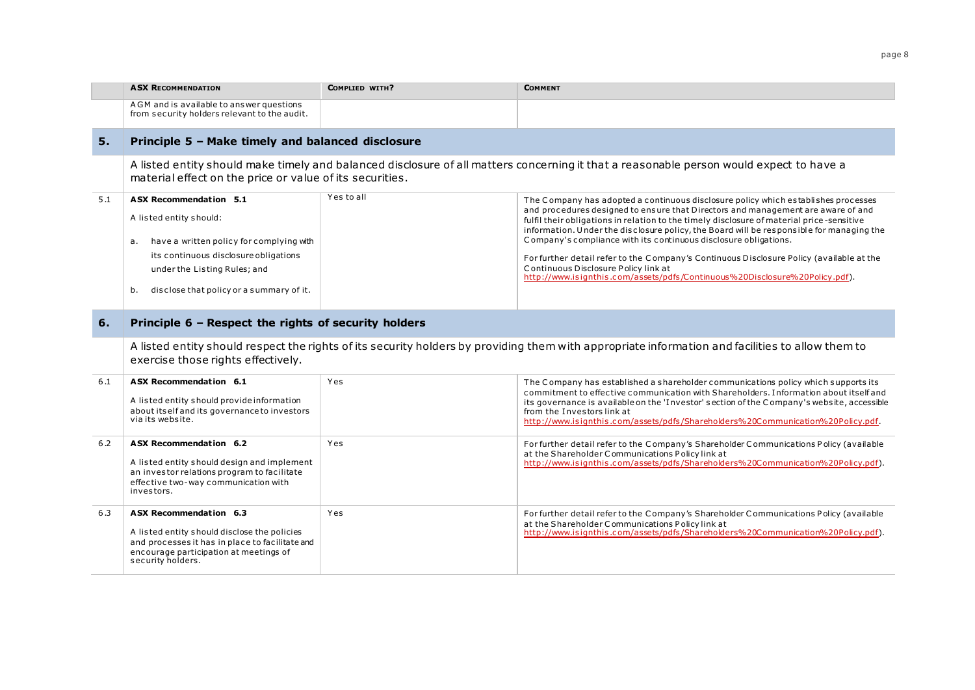|     | <b>ASX RECOMMENDATION</b>                                                                                      | <b>COMPLIED WITH?</b> | <b>COMMENT</b>                                                                                                                                                                                                                                                            |
|-----|----------------------------------------------------------------------------------------------------------------|-----------------------|---------------------------------------------------------------------------------------------------------------------------------------------------------------------------------------------------------------------------------------------------------------------------|
|     | AGM and is available to answer questions<br>from security holders relevant to the audit.                       |                       |                                                                                                                                                                                                                                                                           |
| 5.  | Principle 5 - Make timely and balanced disclosure                                                              |                       |                                                                                                                                                                                                                                                                           |
|     | material effect on the price or value of its securities.                                                       |                       | A listed entity should make timely and balanced disclosure of all matters concerning it that a reasonable person would expect to have a                                                                                                                                   |
| 5.1 | <b>ASX Recommendation 5.1</b>                                                                                  | Yes to all            | The Company has adopted a continuous disclosure policy which establishes processes                                                                                                                                                                                        |
|     | A listed entity should:                                                                                        |                       | and procedures designed to ensure that Directors and management are aware of and<br>fulfil their obligations in relation to the timely disclosure of material price-sensitive<br>information. Under the disclosure policy, the Board will be responsible for managing the |
|     | have a written policy for complying with<br>a.                                                                 |                       | Company's compliance with its continuous disclosure obligations.                                                                                                                                                                                                          |
|     | its continuous disclosure obligations                                                                          |                       | For further detail refer to the Company's Continuous Disclosure Policy (available at the<br>Continuous Disclosure Policy link at                                                                                                                                          |
|     | under the Listing Rules; and                                                                                   |                       | http://www.isignthis.com/assets/pdfs/Continuous%20Disclosure%20Policy.pdf).                                                                                                                                                                                               |
|     | disclose that policy or a summary of it.<br>b.                                                                 |                       |                                                                                                                                                                                                                                                                           |
| 6.  | Principle 6 - Respect the rights of security holders<br>exercise those rights effectively.                     |                       | A listed entity should respect the rights of its security holders by providing them with appropriate information and facilities to allow them to                                                                                                                          |
| 6.1 | ASX Recommendation 6.1                                                                                         | Yes                   | The Company has established a shareholder communications policy which supports its                                                                                                                                                                                        |
|     | A listed entity should provide information                                                                     |                       | commitment to effective communication with Shareholders. Information about itself and                                                                                                                                                                                     |
|     | about itself and its governance to investors<br>via its website.                                               |                       | its governance is available on the 'Investor' section of the Company's website, accessible<br>from the Investors link at<br>http://www.isignthis.com/assets/pdfs/Shareholders%20Communication%20Policy.pdf.                                                               |
| 6.2 | ASX Recommendation 6.2                                                                                         | Yes                   | For further detail refer to the Company's Shareholder Communications Policy (available                                                                                                                                                                                    |
|     | A listed entity should design and implement                                                                    |                       | at the Shareholder Communications Policy link at<br>http://www.isignthis.com/assets/pdfs/Shareholders%20Communication%20Policy.pdf).                                                                                                                                      |
|     | an investor relations program to facilitate<br>effective two-way communication with<br>investors.              |                       |                                                                                                                                                                                                                                                                           |
| 6.3 | ASX Recommendation 6.3                                                                                         | Yes                   | For further detail refer to the Company's Shareholder Communications Policy (available                                                                                                                                                                                    |
|     | A listed entity should disclose the policies                                                                   |                       | at the Shareholder Communications Policy link at<br>http://www.isignthis.com/assets/pdfs/Shareholders%20Communication%20Policy.pdf).                                                                                                                                      |
|     | and processes it has in place to facilitate and<br>encourage participation at meetings of<br>security holders. |                       |                                                                                                                                                                                                                                                                           |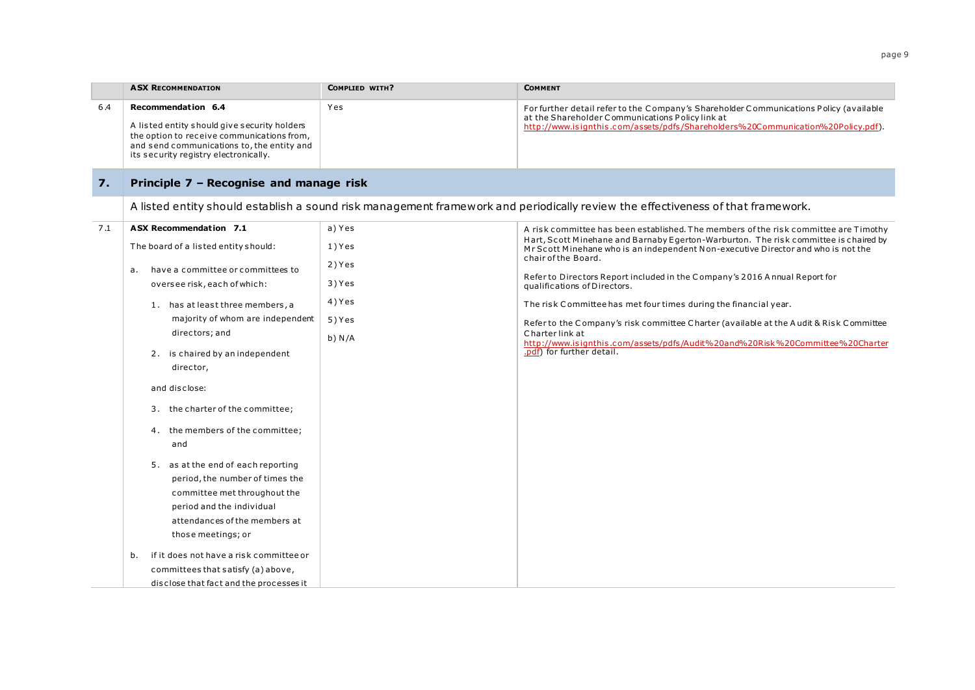|      | <b>ASX RECOMMENDATION</b>                                                                                                                                                                               | COMPLIED WITH? | <b>COMMENT</b>                                                                                                                                                                                                                 |
|------|---------------------------------------------------------------------------------------------------------------------------------------------------------------------------------------------------------|----------------|--------------------------------------------------------------------------------------------------------------------------------------------------------------------------------------------------------------------------------|
| -6.4 | Recommendation 6.4<br>A listed entity should give security holders<br>the option to receive communications from,<br>and send communications to, the entity and<br>its security registry electronically. | Yes            | For further detail refer to the Company's Shareholder Communications Policy (available<br>at the Shareholder Communications Policy link at<br>http://www.isignthis.com/assets/pdfs/Shareholders%20Communication%20Policy.pdf). |

## **7. Principle 7 – Recognise and manage risk**

A listed entity should establish a sound risk management framework and periodically review the effectiveness of that framework.

| 7.1 | <b>ASX Recommendation 7.1</b>                                                                                                                                                                                                                                                                                                                   | a) Yes                     | A risk committee has been established. The members of the risk committee are Timothy                                                                                                                                                                                                        |
|-----|-------------------------------------------------------------------------------------------------------------------------------------------------------------------------------------------------------------------------------------------------------------------------------------------------------------------------------------------------|----------------------------|---------------------------------------------------------------------------------------------------------------------------------------------------------------------------------------------------------------------------------------------------------------------------------------------|
|     | The board of a listed entity should:                                                                                                                                                                                                                                                                                                            | 1) Yes                     | Hart, Scott Minehane and Barnaby Egerton-Warburton. The risk committee is chaired by<br>Mr Scott Minehane who is an independent Non-executive Director and who is not the<br>chair of the Board.                                                                                            |
|     | have a committee or committees to<br>a.<br>oversee risk, each of which:                                                                                                                                                                                                                                                                         | 2) Yes<br>3) Yes           | Refer to Directors Report included in the Company's 2016 Annual Report for<br>qualifications of Directors.                                                                                                                                                                                  |
|     | 1. has at least three members, a<br>majority of whom are independent<br>directors; and<br>2. is chaired by an independent<br>director,<br>and disclose:<br>3. the charter of the committee;<br>4. the members of the committee;<br>and<br>5. as at the end of each reporting<br>period, the number of times the<br>committee met throughout the | 4) Yes<br>5) Yes<br>b) N/A | The risk Committee has met four times during the financial year.<br>Refer to the Company's risk committee Charter (available at the Audit & Risk Committee<br>Charter link at<br>http://www.isignthis.com/assets/pdfs/Audit%20and%20Risk%20Committee%20Charter<br>.pdf) for further detail. |
|     | period and the individual<br>attendances of the members at<br>those meetings; or<br>if it does not have a risk committee or<br>b.<br>committees that satisfy (a) above,<br>disclose that fact and the processes it                                                                                                                              |                            |                                                                                                                                                                                                                                                                                             |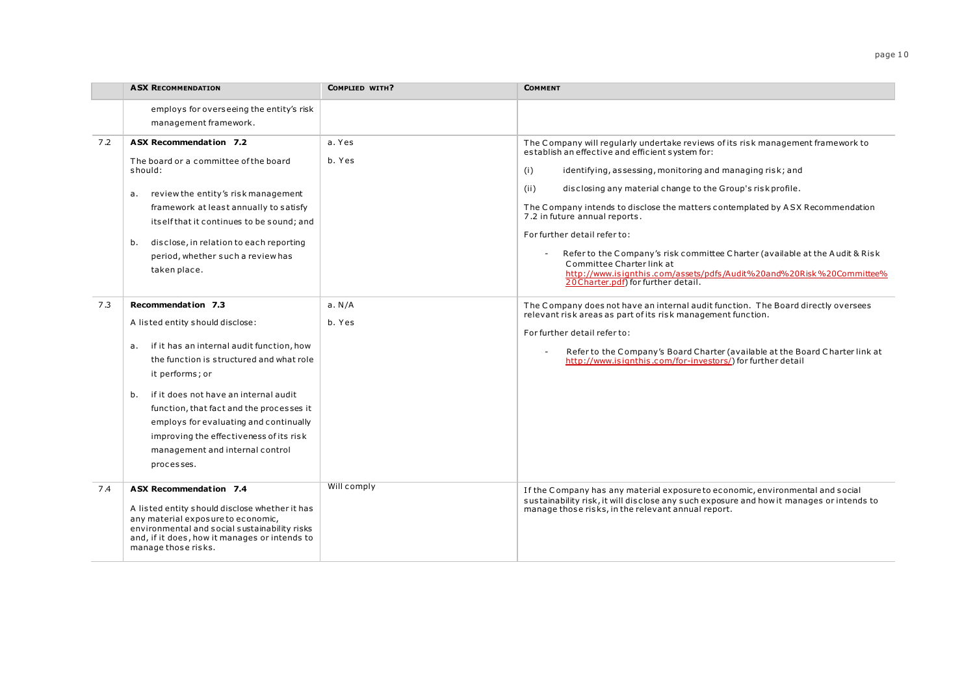|     | <b>ASX RECOMMENDATION</b>                                                                                                                                                                                                                                                                                                                                                                                 | COMPLIED WITH?   | <b>COMMENT</b>                                                                                                                                                                                                                                                                                                                                                                                                                                                                                                                                                                                                                                                 |
|-----|-----------------------------------------------------------------------------------------------------------------------------------------------------------------------------------------------------------------------------------------------------------------------------------------------------------------------------------------------------------------------------------------------------------|------------------|----------------------------------------------------------------------------------------------------------------------------------------------------------------------------------------------------------------------------------------------------------------------------------------------------------------------------------------------------------------------------------------------------------------------------------------------------------------------------------------------------------------------------------------------------------------------------------------------------------------------------------------------------------------|
|     | employs for overseeing the entity's risk<br>management framework.                                                                                                                                                                                                                                                                                                                                         |                  |                                                                                                                                                                                                                                                                                                                                                                                                                                                                                                                                                                                                                                                                |
| 7.2 | ASX Recommendation 7.2<br>The board or a committee of the board<br>should:<br>review the entity's risk management<br>а.<br>framework at least annually to satisfy<br>itself that it continues to be sound; and<br>disclose, in relation to each reporting<br>b.<br>period, whether such a review has<br>taken place.                                                                                      | a. Yes<br>b. Yes | The Company will regularly undertake reviews of its risk management framework to<br>establish an effective and efficient system for:<br>identifying, assessing, monitoring and managing risk; and<br>(i)<br>(ii)<br>disclosing any material change to the Group's risk profile.<br>The Company intends to disclose the matters contemplated by ASX Recommendation<br>7.2 in future annual reports.<br>For further detail refer to:<br>Refer to the Company's risk committee Charter (available at the Audit & Risk<br>Committee Charter link at<br>http://www.isignthis.com/assets/pdfs/Audit%20and%20Risk%20Committee%<br>20 Charter.pdf) for further detail. |
| 7.3 | Recommendation 7.3<br>A listed entity should disclose:<br>if it has an internal audit function, how<br>а.<br>the function is structured and what role<br>it performs; or<br>if it does not have an internal audit<br>b.<br>function, that fact and the processes it<br>employs for evaluating and continually<br>improving the effectiveness of its risk<br>management and internal control<br>processes. | a. N/A<br>b. Yes | The Company does not have an internal audit function. The Board directly oversees<br>relevant risk areas as part of its risk management function.<br>For further detail refer to:<br>Refer to the Company's Board Charter (available at the Board Charter link at<br>http://www.isignthis.com/for-investors/) for further detail                                                                                                                                                                                                                                                                                                                               |
| 7.4 | ASX Recommendation 7.4<br>A listed entity should disclose whether it has<br>any material exposure to economic,<br>environmental and social sustainability risks<br>and, if it does, how it manages or intends to<br>manage those risks.                                                                                                                                                                   | Will comply      | If the Company has any material exposure to economic, environmental and social<br>sustainability risk, it will disclose any such exposure and how it manages or intends to<br>manage those risks, in the relevant annual report.                                                                                                                                                                                                                                                                                                                                                                                                                               |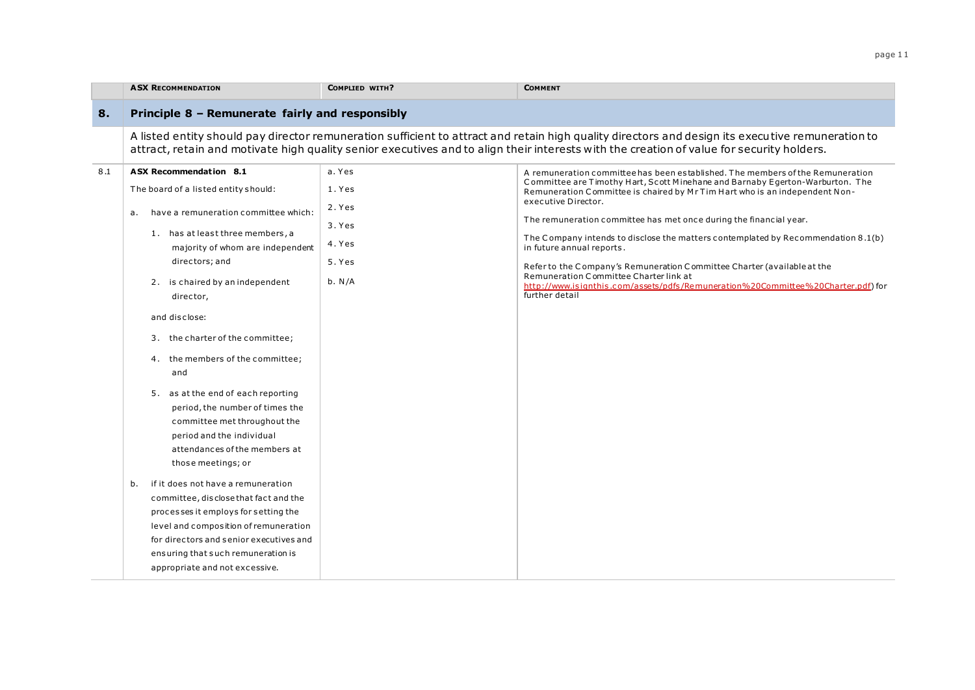|     | <b>ASX RECOMMENDATION</b>                                                                                                                                                                                                                                                             | COMPLIED WITH?                                                                                                                                                                                                                                                                                 | <b>COMMENT</b>                                                                                                                                                  |  |  |  |
|-----|---------------------------------------------------------------------------------------------------------------------------------------------------------------------------------------------------------------------------------------------------------------------------------------|------------------------------------------------------------------------------------------------------------------------------------------------------------------------------------------------------------------------------------------------------------------------------------------------|-----------------------------------------------------------------------------------------------------------------------------------------------------------------|--|--|--|
| 8.  | Principle 8 - Remunerate fairly and responsibly                                                                                                                                                                                                                                       |                                                                                                                                                                                                                                                                                                |                                                                                                                                                                 |  |  |  |
|     |                                                                                                                                                                                                                                                                                       | A listed entity should pay director remuneration sufficient to attract and retain high quality directors and design its executive remuneration to<br>attract, retain and motivate high quality senior executives and to align their interests with the creation of value for security holders. |                                                                                                                                                                 |  |  |  |
| 8.1 | <b>ASX Recommendation 8.1</b>                                                                                                                                                                                                                                                         | a. Yes                                                                                                                                                                                                                                                                                         | A remuneration committee has been established. The members of the Remuneration<br>Committee are Timothy Hart, Scott Minehane and Barnaby Egerton-Warburton. The |  |  |  |
|     | The board of a listed entity should:                                                                                                                                                                                                                                                  | 1. Yes                                                                                                                                                                                                                                                                                         | Remuneration Committee is chaired by Mr Tim Hart who is an independent Non-                                                                                     |  |  |  |
|     | have a remuneration committee which:<br>а.                                                                                                                                                                                                                                            | 2. Yes                                                                                                                                                                                                                                                                                         | executive Director.                                                                                                                                             |  |  |  |
|     | 1. has at least three members, a                                                                                                                                                                                                                                                      | 3. Yes                                                                                                                                                                                                                                                                                         | The remuneration committee has met once during the financial year.                                                                                              |  |  |  |
|     | majority of whom are independent                                                                                                                                                                                                                                                      | 4. Yes                                                                                                                                                                                                                                                                                         | The Company intends to disclose the matters contemplated by Recommendation 8.1(b)<br>in future annual reports.                                                  |  |  |  |
|     | directors; and                                                                                                                                                                                                                                                                        | 5. Yes                                                                                                                                                                                                                                                                                         | Refer to the Company's Remuneration Committee Charter (available at the                                                                                         |  |  |  |
|     | 2. is chaired by an independent<br>director,                                                                                                                                                                                                                                          | b. N/A                                                                                                                                                                                                                                                                                         | Remuneration Committee Charter link at<br>http://www.isignthis.com/assets/pdfs/Remuneration%20Committee%20Charter.pdf) for<br>further detail                    |  |  |  |
|     | and disclose:                                                                                                                                                                                                                                                                         |                                                                                                                                                                                                                                                                                                |                                                                                                                                                                 |  |  |  |
|     | 3. the charter of the committee;                                                                                                                                                                                                                                                      |                                                                                                                                                                                                                                                                                                |                                                                                                                                                                 |  |  |  |
|     | 4. the members of the committee;<br>and                                                                                                                                                                                                                                               |                                                                                                                                                                                                                                                                                                |                                                                                                                                                                 |  |  |  |
|     | 5. as at the end of each reporting<br>period, the number of times the<br>committee met throughout the<br>period and the individual<br>attendances of the members at<br>those meetings; or                                                                                             |                                                                                                                                                                                                                                                                                                |                                                                                                                                                                 |  |  |  |
|     | if it does not have a remuneration<br>b.<br>committee, disclose that fact and the<br>processes it employs for setting the<br>level and composition of remuneration<br>for directors and senior executives and<br>ensuring that such remuneration is<br>appropriate and not excessive. |                                                                                                                                                                                                                                                                                                |                                                                                                                                                                 |  |  |  |